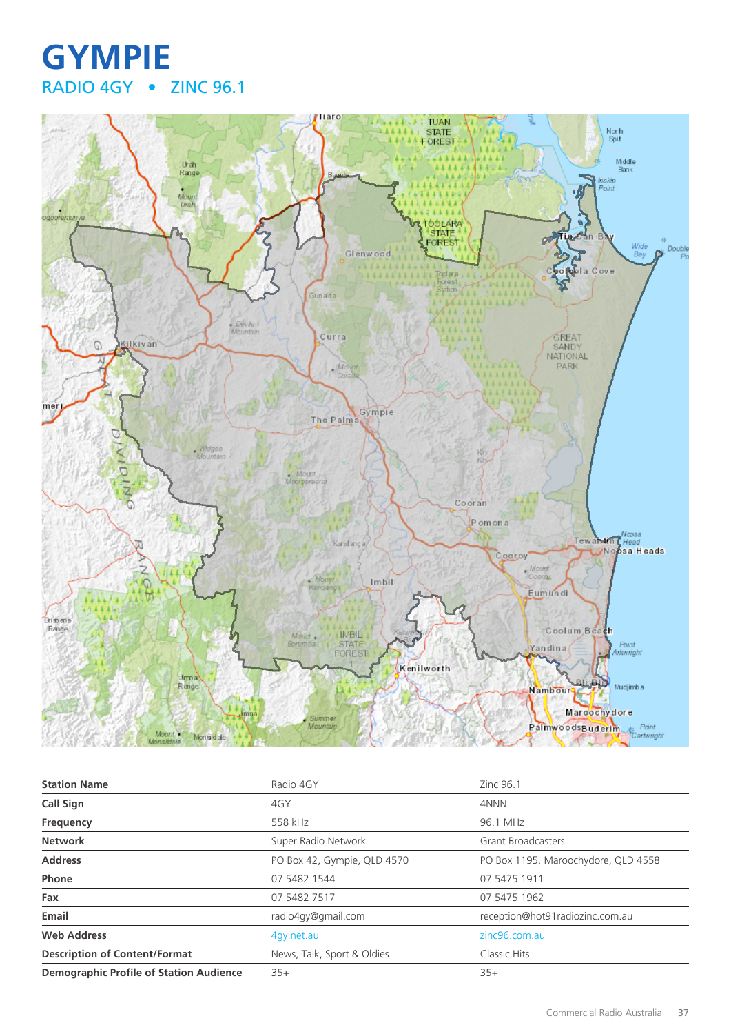## **GYMPIE** RADIO 4GY • ZINC 96.1



| <b>Station Name</b>                            | Radio 4GY                   | Zinc 96.1                           |
|------------------------------------------------|-----------------------------|-------------------------------------|
| <b>Call Sign</b>                               | 4GY                         | 4NNN                                |
| Frequency                                      | 558 kHz                     | 96.1 MHz                            |
| <b>Network</b>                                 | Super Radio Network         | <b>Grant Broadcasters</b>           |
| <b>Address</b>                                 | PO Box 42, Gympie, QLD 4570 | PO Box 1195, Maroochydore, QLD 4558 |
| Phone                                          | 07 5482 1544                | 07 5475 1911                        |
| Fax                                            | 07 5482 7517                | 07 5475 1962                        |
| Email                                          | radio4gy@gmail.com          | reception@hot91radiozinc.com.au     |
| <b>Web Address</b>                             | 4gy.net.au                  | zinc96.com.au                       |
| <b>Description of Content/Format</b>           | News, Talk, Sport & Oldies  | Classic Hits                        |
| <b>Demographic Profile of Station Audience</b> | $35+$                       | $35+$                               |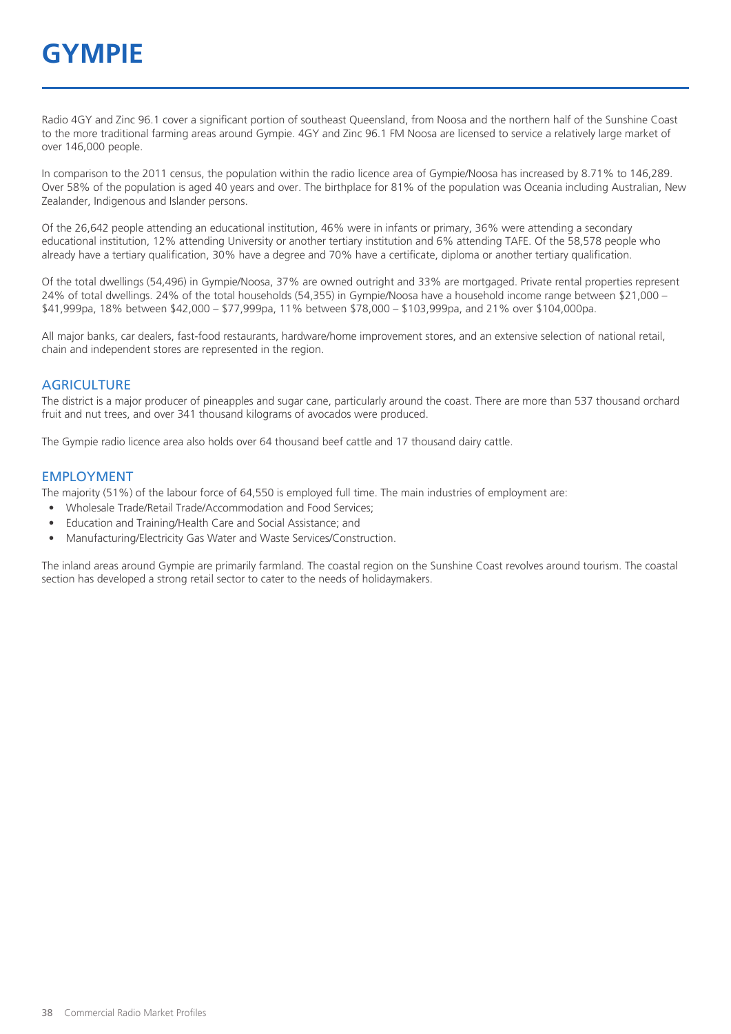# **GYMPIE**

Radio 4GY and Zinc 96.1 cover a significant portion of southeast Queensland, from Noosa and the northern half of the Sunshine Coast to the more traditional farming areas around Gympie. 4GY and Zinc 96.1 FM Noosa are licensed to service a relatively large market of over 146,000 people.

In comparison to the 2011 census, the population within the radio licence area of Gympie/Noosa has increased by 8.71% to 146,289. Over 58% of the population is aged 40 years and over. The birthplace for 81% of the population was Oceania including Australian, New Zealander, Indigenous and Islander persons.

Of the 26,642 people attending an educational institution, 46% were in infants or primary, 36% were attending a secondary educational institution, 12% attending University or another tertiary institution and 6% attending TAFE. Of the 58,578 people who already have a tertiary qualification, 30% have a degree and 70% have a certificate, diploma or another tertiary qualification.

Of the total dwellings (54,496) in Gympie/Noosa, 37% are owned outright and 33% are mortgaged. Private rental properties represent 24% of total dwellings. 24% of the total households (54,355) in Gympie/Noosa have a household income range between \$21,000 – \$41,999pa, 18% between \$42,000 – \$77,999pa, 11% between \$78,000 – \$103,999pa, and 21% over \$104,000pa.

All major banks, car dealers, fast-food restaurants, hardware/home improvement stores, and an extensive selection of national retail, chain and independent stores are represented in the region.

#### **AGRICULTURE**

The district is a major producer of pineapples and sugar cane, particularly around the coast. There are more than 537 thousand orchard fruit and nut trees, and over 341 thousand kilograms of avocados were produced.

The Gympie radio licence area also holds over 64 thousand beef cattle and 17 thousand dairy cattle.

#### EMPLOYMENT

The majority (51%) of the labour force of 64,550 is employed full time. The main industries of employment are:

- Wholesale Trade/Retail Trade/Accommodation and Food Services;
- Education and Training/Health Care and Social Assistance; and
- Manufacturing/Electricity Gas Water and Waste Services/Construction.

The inland areas around Gympie are primarily farmland. The coastal region on the Sunshine Coast revolves around tourism. The coastal section has developed a strong retail sector to cater to the needs of holidaymakers.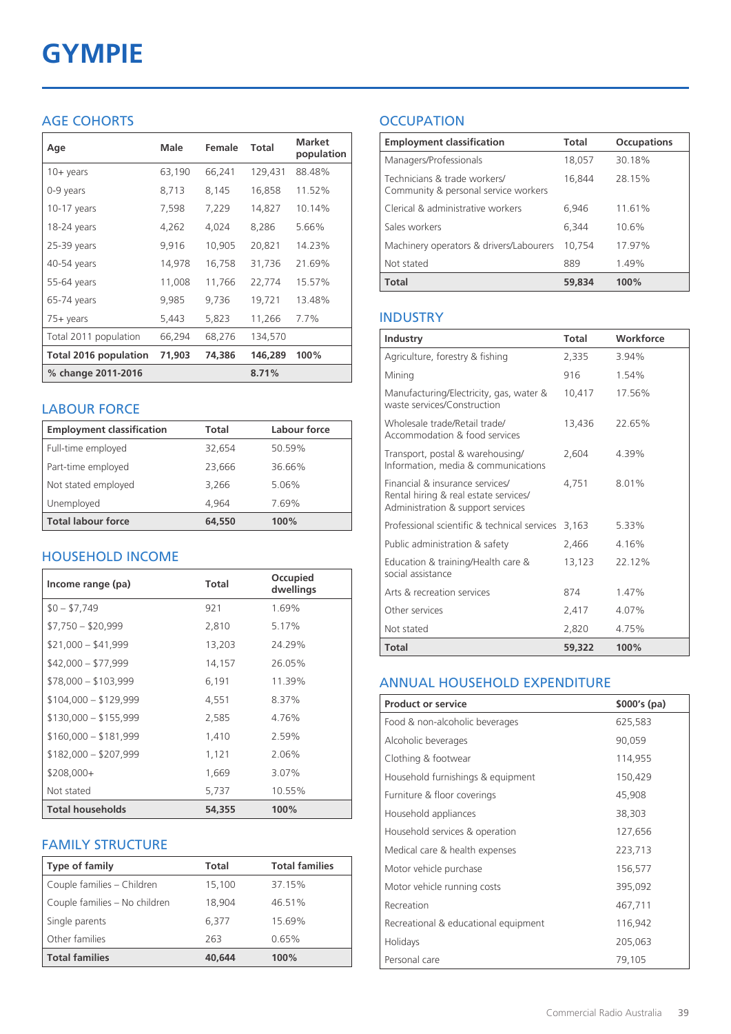# **GYMPIE**

### AGE COHORTS

| Age                   | Male   | Female | <b>Total</b> | <b>Market</b><br>population |
|-----------------------|--------|--------|--------------|-----------------------------|
| $10 + \gamma$ ears    | 63,190 | 66,241 | 129,431      | 88.48%                      |
| 0-9 years             | 8,713  | 8,145  | 16,858       | 11.52%                      |
| $10-17$ years         | 7,598  | 7,229  | 14,827       | 10.14%                      |
| 18-24 years           | 4,262  | 4,024  | 8,286        | 5.66%                       |
| 25-39 years           | 9,916  | 10,905 | 20,821       | 14.23%                      |
| 40-54 years           | 14,978 | 16,758 | 31,736       | 21.69%                      |
| 55-64 years           | 11,008 | 11,766 | 22,774       | 15.57%                      |
| 65-74 years           | 9,985  | 9,736  | 19,721       | 13.48%                      |
| 75+ years             | 5,443  | 5,823  | 11,266       | 7.7%                        |
| Total 2011 population | 66,294 | 68,276 | 134,570      |                             |
| Total 2016 population | 71,903 | 74,386 | 146,289      | 100%                        |
| % change 2011-2016    |        |        | 8.71%        |                             |

#### LABOUR FORCE

| <b>Employment classification</b> | Total  | Labour force |
|----------------------------------|--------|--------------|
| Full-time employed               | 32,654 | 50.59%       |
| Part-time employed               | 23,666 | 36.66%       |
| Not stated employed              | 3.266  | 5.06%        |
| Unemployed                       | 4.964  | 7.69%        |
| <b>Total labour force</b>        | 64,550 | 100%         |

### HOUSEHOLD INCOME

| Income range (pa)       | Total  | Occupied<br>dwellings |
|-------------------------|--------|-----------------------|
| $$0 - $7,749$           | 921    | 1.69%                 |
| $$7,750 - $20,999$      | 2,810  | 5.17%                 |
| $$21,000 - $41,999$     | 13,203 | 24.29%                |
| $$42,000 - $77,999$     | 14,157 | 26.05%                |
| $$78,000 - $103,999$    | 6,191  | 11.39%                |
| $$104,000 - $129,999$   | 4,551  | 8.37%                 |
| $$130,000 - $155,999$   | 2,585  | 4.76%                 |
| $$160,000 - $181,999$   | 1,410  | 2.59%                 |
| $$182,000 - $207,999$   | 1,121  | 2.06%                 |
| $$208,000+$             | 1,669  | 3.07%                 |
| Not stated              | 5,737  | 10.55%                |
| <b>Total households</b> | 54,355 | 100%                  |

#### FAMILY STRUCTURE

| <b>Type of family</b>         | <b>Total</b> | <b>Total families</b> |
|-------------------------------|--------------|-----------------------|
| Couple families - Children    | 15,100       | 37.15%                |
| Couple families - No children | 18,904       | 46.51%                |
| Single parents                | 6.377        | 15.69%                |
| Other families                | 263          | 0.65%                 |
| <b>Total families</b>         | 40,644       | 100%                  |

## **OCCUPATION**

| <b>Employment classification</b>                                     | Total  | <b>Occupations</b> |
|----------------------------------------------------------------------|--------|--------------------|
| Managers/Professionals                                               | 18,057 | 30.18%             |
| Technicians & trade workers/<br>Community & personal service workers | 16,844 | 28.15%             |
| Clerical & administrative workers                                    | 6,946  | 11.61%             |
| Sales workers                                                        | 6.344  | 10.6%              |
| Machinery operators & drivers/Labourers                              | 10.754 | 17.97%             |
| Not stated                                                           | 889    | 1.49%              |
| <b>Total</b>                                                         | 59,834 | 100%               |

#### INDUSTRY

| Industry                                                                                                      | Total  | Workforce |
|---------------------------------------------------------------------------------------------------------------|--------|-----------|
| Agriculture, forestry & fishing                                                                               | 2,335  | 3.94%     |
| Mining                                                                                                        | 916    | 1.54%     |
| Manufacturing/Electricity, gas, water &<br>waste services/Construction                                        | 10,417 | 17.56%    |
| Wholesale trade/Retail trade/<br>Accommodation & food services                                                | 13,436 | 22.65%    |
| Transport, postal & warehousing/<br>Information, media & communications                                       | 2,604  | 4.39%     |
| Financial & insurance services/<br>Rental hiring & real estate services/<br>Administration & support services | 4.751  | 8.01%     |
| Professional scientific & technical services                                                                  | 3,163  | 5.33%     |
| Public administration & safety                                                                                | 2,466  | 4.16%     |
| Education & training/Health care &<br>social assistance                                                       | 13,123 | 22.12%    |
| Arts & recreation services                                                                                    | 874    | 1.47%     |
| Other services                                                                                                | 2,417  | 4.07%     |
| Not stated                                                                                                    | 2,820  | 4.75%     |
| Total                                                                                                         | 59,322 | 100%      |

#### ANNUAL HOUSEHOLD EXPENDITURE

| <b>Product or service</b>            | $$000's$ (pa) |
|--------------------------------------|---------------|
| Food & non-alcoholic beverages       | 625,583       |
| Alcoholic beverages                  | 90,059        |
| Clothing & footwear                  | 114,955       |
| Household furnishings & equipment    | 150,429       |
| Furniture & floor coverings          | 45,908        |
| Household appliances                 | 38,303        |
| Household services & operation       | 127,656       |
| Medical care & health expenses       | 223,713       |
| Motor vehicle purchase               | 156,577       |
| Motor vehicle running costs          | 395,092       |
| Recreation                           | 467,711       |
| Recreational & educational equipment | 116,942       |
| Holidays                             | 205,063       |
| Personal care                        | 79,105        |